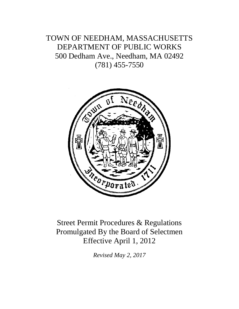# TOWN OF NEEDHAM, MASSACHUSETTS DEPARTMENT OF PUBLIC WORKS 500 Dedham Ave., Needham, MA 02492 (781) 455-7550



# Street Permit Procedures & Regulations Promulgated By the Board of Selectmen Effective April 1, 2012

*Revised May 2, 2017*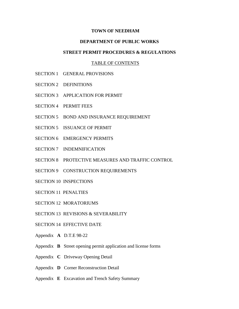#### **TOWN OF NEEDHAM**

### **DEPARTMENT OF PUBLIC WORKS**

#### **STREET PERMIT PROCEDURES & REGULATIONS**

#### TABLE OF CONTENTS

- SECTION 1 GENERAL PROVISIONS
- SECTION 2 DEFINITIONS
- SECTION 3 APPLICATION FOR PERMIT
- SECTION 4 PERMIT FEES
- SECTION 5 BOND AND INSURANCE REQUIREMENT
- SECTION 5 ISSUANCE OF PERMIT
- SECTION 6 EMERGENCY PERMITS
- SECTION 7 INDEMNIFICATION
- SECTION 8 PROTECTIVE MEASURES AND TRAFFIC CONTROL
- SECTION 9 CONSTRUCTION REQUIREMENTS
- SECTION 10 INSPECTIONS
- SECTION 11 PENALTIES
- SECTION 12 MORATORIUMS
- SECTION 13 REVISIONS & SEVERABILITY
- SECTION 14 EFFECTIVE DATE
- Appendix **A** D.T.E 98-22
- Appendix **B** Street opening permit application and license forms
- Appendix **C** Driveway Opening Detail
- Appendix **D** Corner Reconstruction Detail
- Appendix **E** Excavation and Trench Safety Summary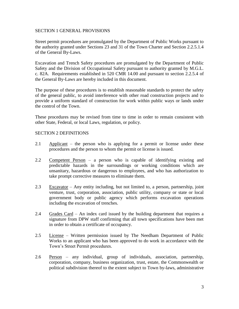## SECTION 1 GENERAL PROVISIONS

Street permit procedures are promulgated by the Department of Public Works pursuant to the authority granted under Sections 23 and 31 of the Town Charter and Section 2.2.5.1.4 of the General By-Laws.

Excavation and Trench Safety procedures are promulgated by the Department of Public Safety and the Division of Occupational Safety pursuant to authority granted by M.G.L. c. 82A. Requirements established in 520 CMR 14.00 and pursuant to section 2.2.5.4 of the General By-Laws are hereby included in this document.

The purpose of these procedures is to establish reasonable standards to protect the safety of the general public, to avoid interference with other road construction projects and to provide a uniform standard of construction for work within public ways or lands under the control of the Town.

These procedures may be revised from time to time in order to remain consistent with other State, Federal, or local Laws, regulation, or policy.

## SECTION 2 DEFINITIONS

- 2.1 Applicant the person who is applying for a permit or license under these procedures and the person to whom the permit or license is issued.
- 2.2 Competent Person a person who is capable of identifying existing and predictable hazards in the surroundings or working conditions which are unsanitary, hazardous or dangerous to employees, and who has authorization to take prompt corrective measures to eliminate them.
- 2.3 Excavator Any entity including, but not limited to, a person, partnership, joint venture, trust, corporation, association, public utility, company or state or local government body or public agency which performs excavation operations including the excavation of trenches.
- 2.4 Grades Card An index card issued by the building department that requires a signature from DPW staff confirming that all town specifications have been met in order to obtain a certificate of occupancy.
- 2.5 License Written permission issued by The Needham Department of Public Works to an applicant who has been approved to do work in accordance with the Town's Street Permit procedures.
- 2.6 Person any individual, group of individuals, association, partnership, corporation, company, business organization, trust, estate, the Commonwealth or political subdivision thereof to the extent subject to Town by-laws, administrative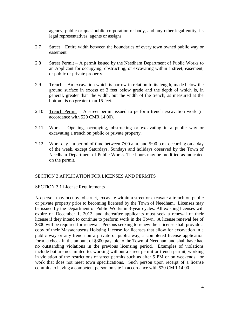agency, public or quasipublic corporation or body, and any other legal entity, its legal representatives, agents or assigns.

- 2.7 Street Entire width between the boundaries of every town owned public way or easement.
- 2.8 Street Permit A permit issued by the Needham Department of Public Works to an Applicant for occupying, obstructing, or excavating within a street, easement, or public or private property.
- 2.9 Trench An excavation which is narrow in relation to its length, made below the ground surface in excess of 3 feet below grade and the depth of which is, in general, greater than the width, but the width of the trench, as measured at the bottom, is no greater than 15 feet.
- 2.10 Trench Permit A street permit issued to perform trench excavation work (in accordance with 520 CMR 14.00).
- 2.11 Work Opening, occupying, obstructing or excavating in a public way or excavating a trench on public or private property.
- 2.12 Work day a period of time between 7:00 a.m. and 5:00 p.m. occurring on a day of the week, except Saturdays, Sundays and holidays observed by the Town of Needham Department of Public Works. The hours may be modified as indicated on the permit.

# SECTION 3 APPLICATION FOR LICENSES AND PERMITS

## SECTION 3.1 License Requirements

No person may occupy, obstruct, excavate within a street or excavate a trench on public or private property prior to becoming licensed by the Town of Needham. Licenses may be issued by the Department of Public Works in 3-year cycles. All existing licenses will expire on December 1, 2012, and thereafter applicants must seek a renewal of their license if they intend to continue to perform work in the Town. A license renewal fee of \$300 will be required for renewal. Persons seeking to renew their license shall provide a copy of their Massachusetts Hoisting License for licenses that allow for excavation in a public way or any trench on a private or public way, a completed license application form, a check in the amount of \$300 payable to the Town of Needham and shall have had no outstanding violations in the previous licensing period. Examples of violations include but are not limited to, working without a street permit or trench permit, working in violation of the restrictions of street permits such as after 5 PM or on weekends, or work that does not meet town specifications. Such person upon receipt of a license commits to having a competent person on site in accordance with 520 CMR 14.00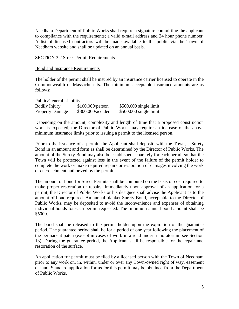Needham Department of Public Works shall require a signature committing the applicant to compliance with the requirements; a valid e-mail address and 24 hour phone number. A list of licensed contractors will be made available to the public via the Town of Needham website and shall be updated on an annual basis.

## SECTION 3.2 Street Permit Requirements

#### Bond and Insurance Requirements

The holder of the permit shall be insured by an insurance carrier licensed to operate in the Commonwealth of Massachusetts. The minimum acceptable insurance amounts are as follows:

| Public/General Liability |                    |                         |  |
|--------------------------|--------------------|-------------------------|--|
| Bodily Injury            | \$100,000/person   | $$500,000$ single limit |  |
| <b>Property Damage</b>   | \$300,000/accident | $$500,000$ single limit |  |

Depending on the amount, complexity and length of time that a proposed construction work is expected, the Director of Public Works may require an increase of the above minimum insurance limits prior to issuing a permit to the licensed person.

Prior to the issuance of a permit, the Applicant shall deposit, with the Town, a Surety Bond in an amount and form as shall be determined by the Director of Public Works. The amount of the Surety Bond may also be established separately for each permit so that the Town will be protected against loss in the event of the failure of the permit holder to complete the work or make required repairs or restoration of damages involving the work or encroachment authorized by the permit.

The amount of bond for Street Permits shall be computed on the basis of cost required to make proper restoration or repairs. Immediately upon approval of an application for a permit, the Director of Public Works or his designee shall advise the Applicant as to the amount of bond required. An annual blanket Surety Bond, acceptable to the Director of Public Works, may be deposited to avoid the inconvenience and expenses of obtaining individual bonds for each permit requested. The minimum annual bond amount shall be \$5000.

The bond shall be released to the permit holder upon the expiration of the guarantee period. The guarantee period shall be for a period of one year following the placement of the permanent patch (except in cases of work in a road under a moratorium see Section 13). During the guarantee period, the Applicant shall be responsible for the repair and restoration of the surface.

An application for permit must be filed by a licensed person with the Town of Needham prior to any work on, in, within, under or over any Town-owned right of way, easement or land. Standard application forms for this permit may be obtained from the Department of Public Works.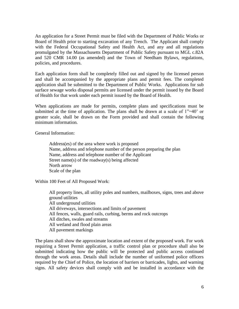An application for a Street Permit must be filed with the Department of Public Works or Board of Health prior to starting excavation of any Trench. The Applicant shall comply with the Federal Occupational Safety and Health Act, and any and all regulations promulgated by the Massachusetts Department of Public Safety pursuant to MGL c.82A and 520 CMR 14.00 (as amended) and the Town of Needham Bylaws, regulations, policies, and procedures.

Each application form shall be completely filled out and signed by the licensed person and shall be accompanied by the appropriate plans and permit fees. The completed application shall be submitted to the Department of Public Works. Applications for sub surface sewage works disposal permits are licensed under the permit issued by the Board of Health for that work under each permit issued by the Board of Health.

When applications are made for permits, complete plans and specifications must be submitted at the time of application. The plans shall be drawn at a scale of  $1"=40"$  or greater scale, shall be drawn on the Form provided and shall contain the following minimum information.

General Information:

Address(es) of the area where work is proposed Name, address and telephone number of the person preparing the plan Name, address and telephone number of the Applicant Street name(s) of the roadway(s) being affected North arrow Scale of the plan

Within 100 Feet of All Proposed Work:

All property lines, all utility poles and numbers, mailboxes, signs, trees and above ground utilities All underground utilities All driveways, intersections and limits of pavement All fences, walls, guard rails, curbing, berms and rock outcrops All ditches, swales and streams All wetland and flood plain areas All pavement markings

The plans shall show the approximate location and extent of the proposed work. For work requiring a Street Permit application, a traffic control plan or procedure shall also be submitted indicating how the public will be protected and public access continued through the work areas. Details shall include the number of uniformed police officers required by the Chief of Police, the location of barriers or barricades, lights, and warning signs. All safety devices shall comply with and be installed in accordance with the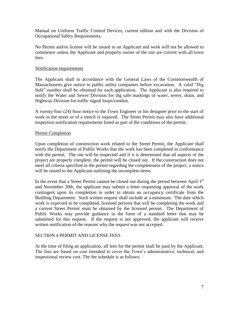Manual on Uniform Traffic Control Devices, current edition and with the Division of Occupational Safety Requirements.

No Permit and/or license will be issued to an Applicant and work will not be allowed to commence unless the Applicant and property owner of the site are current with all town fees.

#### Notification requirements

The Applicant shall in accordance with the General Laws of the Commonwealth of Massachusetts give notice to public utility companies before excavation. A valid "Dig Safe" number shall be obtained for each application. The Applicant is also required to notify the Water and Sewer Division for dig safe markings of water, sewer, drain, and Highway Division for traffic signal loops/conduit.

A twenty-four (24) hour notice to the Town Engineer or his designee prior to the start of work in the street or of a trench is required. The Street Permit may also have additional inspection notification requirements listed as part of the conditions of the permit.

## Permit Completion

Upon completion of construction work related to the Street Permit, the Applicant shall notify the Department of Public Works that the work has been completed in conformance with the permit. The site will be inspected and if it is determined that all aspects of the project are properly complete, the permit will be closed out. If the construction does not meet all criteria specified in the permit regarding the completeness of the project, a notice will be issued to the Applicant outlining the incomplete items.

In the event that a Street Permit cannot be closed out during the period between April 1<sup>st</sup> and November 30th, the applicant may submit a letter requesting approval of the work contingent upon its completion in order to obtain an occupancy certificate from the Building Department. Such written request shall include at a minimum: The date which work is expected to be completed, licensed persons that will be completing the work and a current Street Permit must be obtained by the licensed person. The Department of Public Works may provide guidance in the form of a standard letter that may be submitted for this request. If the request is not approved, the applicant will receive written notification of the reasons why the request was not accepted.

## SECTION 4 PERMIT AND LICENSE FEES

At the time of filing an application, all fees for the permit shall be paid by the Applicant. The fees are based on cost intended to cover the Town's administrative, technical, and inspectional review cost. The fee schedule is as follows: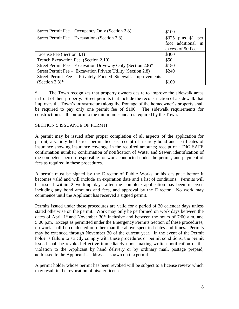| Street Permit Fee – Occupancy Only (Section 2.8)             | \$100               |
|--------------------------------------------------------------|---------------------|
| Street Permit Fee – Excavation (Section 2.8)                 | $$325$ plus \$1 per |
|                                                              | foot additional in  |
|                                                              | excess of 50 Feet   |
| License Fee (Section 3.1)                                    | \$300               |
| Trench Excavation Fee (Section 2.10)                         | \$50                |
| Street Permit Fee – Excavation Driveway Only (Section 2.8)*  | \$150               |
| Street Permit Fee – Excavation Private Utility (Section 2.8) | \$240               |
| Street Permit Fee - Privately Funded Sidewalk Improvements   |                     |
| (Section 2.8) $*$                                            | \$100               |

\* The Town recognizes that property owners desire to improve the sidewalk areas in front of their property. Street permits that include the reconstruction of a sidewalk that improves the Town's infrastructure along the frontage of the homeowner's property shall be required to pay only one permit fee of \$100. The sidewalk requirements for construction shall conform to the minimum standards required by the Town.

## SECTION 5 ISSUANCE OF PERMIT

A permit may be issued after proper completion of all aspects of the application for permit, a validly held street permit license, receipt of a surety bond and certificates of insurance showing insurance coverage in the required amounts; receipt of a DIG SAFE confirmation number; confirmation of notification of Water and Sewer, identification of the competent person responsible for work conducted under the permit, and payment of fees as required in these procedures.

A permit must be signed by the Director of Public Works or his designee before it becomes valid and will include an expiration date and a list of conditions. Permits will be issued within 2 working days after the complete application has been received including any bond amounts and fees, and approval by the Director. No work may commence until the Applicant has received a signed permit.

Permits issued under these procedures are valid for a period of 30 calendar days unless stated otherwise on the permit. Work may only be performed on work days between the dates of April  $1<sup>st</sup>$  and November  $30<sup>th</sup>$  inclusive and between the hours of 7:00 a.m. and 5:00 p.m. Except as permitted under the Emergency Permits Section of these procedures, no work shall be conducted on other than the above specified dates and times. Permits may be extended through November 30 of the current year. In the event of the Permit holder's failure to strictly comply with these procedures or permit conditions, the permit issued shall be revoked effective immediately upon making written notification of the violation to the Applicant by hand delivery or by ordinary mail, postage prepaid, addressed to the Applicant's address as shown on the permit.

A permit holder whose permit has been revoked will be subject to a license review which may result in the revocation of his/her license.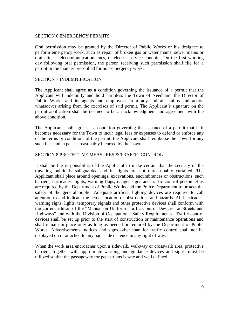#### SECTION 6 EMERGENCY PERMITS

Oral permission may be granted by the Director of Public Works or his designee to perform emergency work, such as repair of broken gas or water mains, sewer mains or drain lines, telecommunication lines, or electric service conduits. On the first working day following oral permission, the person receiving such permission shall file for a permit in the manner prescribed for non-emergency work.

#### SECTION 7 INDEMNIFICATION

The Applicant shall agree as a condition governing the issuance of a permit that the Applicant will indemnify and hold harmless the Town of Needham, the Director of Public Works and its agents and employees from any and all claims and action whatsoever arising from the exercises of said permit. The Applicant's signature on the permit application shall be deemed to be an acknowledgment and agreement with the above condition.

The Applicant shall agree as a condition governing the issuance of a permit that if it becomes necessary for the Town to incur legal fees or expenses to defend or enforce any of the terms or conditions of the permit, the Applicant shall reimburse the Town for any such fees and expenses reasonably incurred by the Town.

## SECTION 8 PROTECTIVE MEASURES & TRAFFIC CONTROL

It shall be the responsibility of the Applicant to make certain that the security of the traveling public is safeguarded and its rights are not unreasonably curtailed. The Applicant shall place around openings, excavations, encumbrances or obstructions, such barriers, barricades, lights, warning flags, danger signs and traffic control personnel as are required by the Department of Public Works and the Police Department to protect the safety of the general public. Adequate artificial lighting devices are required to call attention to and indicate the actual location of obstructions and hazards. All barricades, warning signs, lights, temporary signals and other protective devices shall conform with the current edition of the "Manual on Uniform Traffic Control Devices for Streets and Highways" and with the Division of Occupational Safety Requirements. Traffic control devices shall be set up prior to the start of construction or maintenance operations and shall remain in place only as long as needed or required by the Department of Public Works. Advertisements, notices and signs other than for traffic control shall not be displayed on or attached to any barricade or fence in any right of way.

When the work area encroaches upon a sidewalk, walkway or crosswalk area, protective barriers, together with appropriate warning and guidance devices and signs, must be utilized so that the passageway for pedestrians is safe and well defined.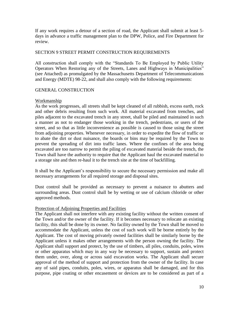If any work requires a detour of a section of road, the Applicant shall submit at least 5 days in advance a traffic management plan to the DPW, Police, and Fire Department for review.

## SECTION 9 STREET PERMIT CONSTRUCTION REQUIREMENTS

All construction shall comply with the "Standards To Be Employed by Public Utility Operators When Restoring any of the Streets, Lanes and Highways in Municipalities" (see Attached) as promulgated by the Massachusetts Department of Telecommunications and Energy (MDTE) 98-22, and shall also comply with the following requirements:

## GENERAL CONSTRUCTION

## Workmanship

As the work progresses, all streets shall be kept cleaned of all rubbish, excess earth, rock and other debris resulting from such work. All material excavated from trenches, and piles adjacent to the excavated trench in any street, shall be piled and maintained in such a manner as not to endanger those working in the trench, pedestrians, or users of the street, and so that as little inconvenience as possible is caused to those using the street from adjoining properties. Whenever necessary, in order to expedite the flow of traffic or to abate the dirt or dust nuisance, the boards or bins may be required by the Town to prevent the spreading of dirt into traffic lanes. Where the confines of the area being excavated are too narrow to permit the piling of excavated material beside the trench, the Town shall have the authority to require that the Applicant haul the excavated material to a storage site and then re-haul it to the trench site at the time of backfilling.

It shall be the Applicant's responsibility to secure the necessary permission and make all necessary arrangements for all required storage and disposal sites.

Dust control shall be provided as necessary to prevent a nuisance to abutters and surrounding areas. Dust control shall be by wetting or use of calcium chloride or other approved methods.

## Protection of Adjoining Properties and Facilities

The Applicant shall not interfere with any existing facility without the written consent of the Town and/or the owner of the facility. If it becomes necessary to relocate an existing facility, this shall be done by its owner. No facility owned by the Town shall be moved to accommodate the Applicant, unless the cost of such work will be borne entirely by the Applicant. The cost of moving privately owned facilities shall be similarly borne by the Applicant unless it makes other arrangements with the person owning the facility. The Applicant shall support and protect, by the use of timbers, all piles, conduits, poles, wires or other apparatus which may in any way be necessary to support, sustain and protect them under, over, along or across said excavation works. The Applicant shall secure approval of the method of support and protection from the owner of the facility. In case any of said pipes, conduits, poles, wires, or apparatus shall be damaged, and for this purpose, pipe coating or other encasement or devices are to be considered as part of a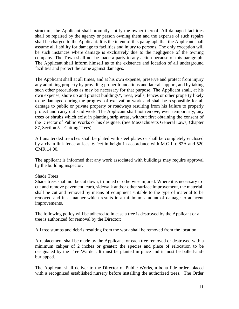structure, the Applicant shall promptly notify the owner thereof. All damaged facilities shall be repaired by the agency or person owning them and the expense of such repairs shall be charged to the Applicant. It is the intent of this paragraph that the Applicant shall assume all liability for damage to facilities and injury to persons. The only exception will be such instances where damage is exclusively due to the negligence of the owning company. The Town shall not be made a party to any action because of this paragraph. The Applicant shall inform himself as to the existence and location of all underground facilities and protect the same against damages.

The Applicant shall at all times, and at his own expense, preserve and protect from injury any adjoining property by providing proper foundations and lateral support, and by taking such other precautions as may be necessary for that purpose. The Applicant shall, at his own expense, shore up and protect buildings\*, trees, walls, fences or other property likely to be damaged during the progress of excavation work and shall be responsible for all damage to public or private property or roadways resulting from his failure to properly protect and carry out said work. The Applicant shall not remove, even temporarily, any trees or shrubs which exist in planting strip areas, without first obtaining the consent of the Director of Public Works or his designee. (See Massachusetts General Laws, Chapter 87, Section 5 – Cutting Trees)

All unattended trenches shall be plated with steel plates or shall be completely enclosed by a chain link fence at least 6 feet in height in accordance with M.G.L c 82A and 520 CMR 14.00.

The applicant is informed that any work associated with buildings may require approval by the building inspector.

## Shade Trees

Shade trees shall not be cut down, trimmed or otherwise injured. Where it is necessary to cut and remove pavement, curb, sidewalk and/or other surface improvement, the material shall be cut and removed by means of equipment suitable to the type of material to be removed and in a manner which results in a minimum amount of damage to adjacent improvements.

The following policy will be adhered to in case a tree is destroyed by the Applicant or a tree is authorized for removal by the Director:

All tree stumps and debris resulting from the work shall be removed from the location.

A replacement shall be made by the Applicant for each tree removed or destroyed with a minimum caliper of 2 inches or greater; the species and place of relocation to be designated by the Tree Warden. It must be planted in place and it must be balled-andburlapped.

The Applicant shall deliver to the Director of Public Works, a bona fide order, placed with a recognized established nursery before installing the authorized trees. The Order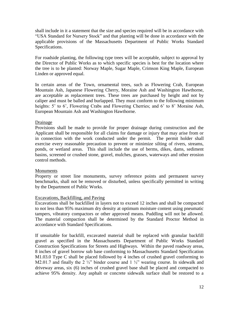shall include in it a statement that the size and species required will be in accordance with "USA Standard for Nursery Stock" and that planting will be done in accordance with the applicable provisions of the Massachusetts Department of Public Works Standard Specifications.

For roadside planting, the following type trees will be acceptable, subject to approval by the Director of Public Works as to which specific species is best for the location where the tree is to be planted: Norway Maple, Sugar Maple, Crimson King Maple, European Linden or approved equal.

In certain areas of the Town, ornamental trees, such as Flowering Crab, European Mountain Ash, Japanese Flowering Cherry, Moraine Ash and Washington Hawthorne, are acceptable as replacement trees. These trees are purchased by height and not by caliper and must be balled and burlapped. They must conform to the following minimum heights: 5' to 6', Flowering Crabs and Flowering Cherries; and 6' to 8' Moraine Ash, European Mountain Ash and Washington Hawthorne.

## Drainage

Provisions shall be made to provide for proper drainage during construction and the Applicant shall be responsible for all claims for damage or injury that may arise from or in connection with the work conducted under the permit. The permit holder shall exercise every reasonable precaution to prevent or minimize silting of rivers, streams, ponds, or wetland areas. This shall include the use of berms, dikes, dams, sediment basins, screened or crushed stone, gravel, mulches, grasses, waterways and other erosion control methods.

## Monuments

Property or street line monuments, survey reference points and permanent survey benchmarks, shall not be removed or disturbed, unless specifically permitted in writing by the Department of Public Works.

## Excavations, Backfilling, and Paving

Excavations shall be backfilled in layers not to exceed 12 inches and shall be compacted to not less than 95% maximum dry density at optimum moisture content using pneumatic tampers, vibratory compactors or other approved means. Puddling will not be allowed. The material compaction shall be determined by the Standard Proctor Method in accordance with Standard Specifications.

If unsuitable for backfill, excavated material shall be replaced with granular backfill gravel as specified in the Massachusetts Department of Public Works Standard Construction Specifications for Streets and Highways. Within the paved roadway areas, 8 inches of gravel borrow sub base conforming to Massachusetts Standard Specification M1.03.0 Type C shall be placed followed by 4 inches of crushed gravel conforming to M2.01.7 and finally the 2  $\frac{1}{2}$ " binder course and 1  $\frac{1}{2}$ " wearing course. In sidewalk and driveway areas, six (6) inches of crushed gravel base shall be placed and compacted to achieve 95% density. Any asphalt or concrete sidewalk surface shall be restored to a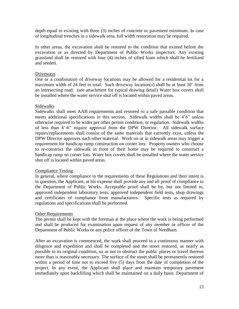depth equal to existing with three (3) inches of concrete or pavement minimum. In case of longitudinal trenches in a sidewalk area, full width restoration may be required.

In other areas, the excavation shall be restored to the condition that existed before the excavation or as directed by Department of Public Works inspectors. Any existing grassland shall be restored with four (4) inches of sifted loam which shall be fertilized and seeded.

## Driveways

One or a combination of driveway locations may be allowed for a residential lot for a maximum width of 24 feet in total. Such driveway location(s) shall be at least 30' from an intersecting road. (see attachment for typical drawing detail) Water box covers shall be installed where the water service shut off is located within paved areas.

## Sidewalks

Sidewalks shall meet AAB requirements and restored to a safe passable condition that meets additional specifications in this section. Sidewalk widths shall be 4'6" unless otherwise required to be wider per other permit condition, or regulation. Sidewalk widths of less than 4'-6" require approval from the DPW Director. All sidewalk surface repairs/replacements shall consist of the same materials that currently exist, unless the DPW Director approves such other material. Work on or in sidewalk areas may trigger a requirement for handicap ramp construction on corner lots. Property owners who choose to re-construct the sidewalk in front of their home may be required to construct a handicap ramp on corner lots. Water box covers shall be installed where the water service shut off is located within paved areas.

## Compliance Testing

In general, where compliance to the requirements of these Regulations and their intent is in question, the Applicant, at his expense shall provide any and all proof of compliance to the Department of Public Works. Acceptable proof shall be by, but not limited to, approved independent laboratory tests, approved independent field tests, shop drawings and certificates of compliance from manufacturers. Specific tests as required by regulations and specifications shall be performed.

# Other Requirements

The permit shall be kept with the foreman at the place where the work is being performed and shall be produced for examination upon request of any member or officer of the Department of Public Works or any police officer of the Town of Needham.

After an excavation is commenced, the work shall proceed in a continuous manner with diligence and expedition and shall be completed and the street restored, as nearly as possible to its original condition, so as not to obstruct the public places or travel thereon more than is reasonably necessary. The surface of the street shall be permanently restored within a period of time not to exceed five (5) days from the date of completion of the project. In any event, the Applicant shall place and maintain temporary pavement immediately upon backfilling which shall be maintained on a daily basis. Department of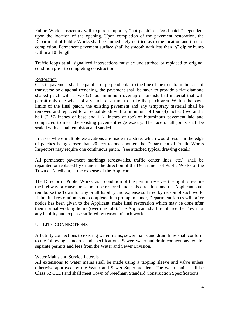Public Works inspectors will require temporary "hot-patch" or "cold-patch" dependent upon the location of the opening. Upon completion of the pavement restoration, the Department of Public Works shall be immediately notified as to the location and time of completion. Permanent pavement surface shall be smooth with less than  $\frac{1}{4}$  dip or bump within a 10' length.

Traffic loops at all signalized intersections must be undisturbed or replaced to original condition prior to completing construction.

## Restoration

Cuts in pavement shall be parallel or perpendicular to the line of the trench. In the case of transverse or diagonal trenching, the pavement shall be sawn to provide a flat diamond shaped patch with a two (2) foot minimum overlap on undisturbed material that will permit only one wheel of a vehicle at a time to strike the patch area. Within the sawn limits of the final patch, the existing pavement and any temporary material shall be removed and replaced to an equal depth with a minimum of four (4) inches (two and a half  $(2 \frac{1}{2})$  inches of base and  $1 \frac{1}{2}$  inches of top) of bituminous pavement laid and compacted to meet the existing pavement edge exactly. The face of all joints shall be sealed with asphalt emulsion and sanded.

In cases where multiple excavations are made in a street which would result in the edge of patches being closer than 20 feet to one another, the Department of Public Works Inspectors may require one continuous patch. (see attached typical drawing detail)

All permanent pavement markings (crosswalks, traffic center lines, etc.), shall be repainted or replaced by or under the direction of the Department of Public Works of the Town of Needham, at the expense of the Applicant.

The Director of Public Works, as a condition of the permit, reserves the right to restore the highway or cause the same to be restored under his directions and the Applicant shall reimburse the Town for any or all liability and expense suffered by reason of such work. If the final restoration is not completed in a prompt manner, Department forces will, after notice has been given to the Applicant, make final restoration which may be done after their normal working hours (overtime rate). The Applicant shall reimburse the Town for any liability and expense suffered by reason of such work.

## UTILITY CONNECTIONS

All utility connections to existing water mains, sewer mains and drain lines shall conform to the following standards and specifications. Sewer, water and drain connections require separate permits and fees from the Water and Sewer Division.

## Water Mains and Service Laterals

All extensions to water mains shall be made using a tapping sleeve and valve unless otherwise approved by the Water and Sewer Superintendent. The water main shall be Class 52 CLDI and shall meet Town of Needham Standard Construction Specifications.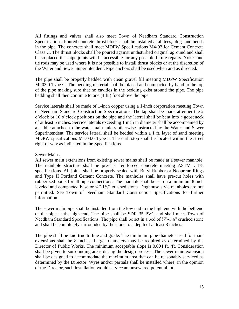All fittings and valves shall also meet Town of Needham Standard Construction Specifications. Poured concrete thrust blocks shall be installed at all tees, plugs and bends in the pipe. The concrete shall meet MDPW Specifications M4-02 for Cement Concrete Class C. The thrust blocks shall be poured against undisturbed original aground and shall be so placed that pipe joints will be accessible for any possible future repairs. Yokes and tie rods may be used where it is not possible to install thrust blocks or at the discretion of the Water and Sewer Superintendent. Pipe anchors shall be used when and as directed.

The pipe shall be properly bedded with clean gravel fill meeting MDPW Specification Ml.03.0 Type C. The bedding material shall be placed and compacted by hand to the top of the pipe making sure that no cavities in the bedding exist around the pipe. The pipe bedding shall then continue to one (1 ft.) foot above the pipe.

Service laterals shall be made of 1-inch copper using a 1-inch corporation meeting Town of Needham Standard Construction Specifications. The tap shall be made at either the 2 o'clock or 10 o'clock positions on the pipe and the lateral shall be bent into a gooseneck of at least 6 inches. Service laterals exceeding 1 inch in diameter shall be accompanied by a saddle attached to the water main unless otherwise instructed by the Water and Sewer Superintendent. The service lateral shall be bedded within a 1 ft. layer of sand meeting MDPW specifications M1.04.0 Type a. The curb stop shall be located within the street right of way as indicated in the Specifications.

## Sewer Mains

All sewer main extensions from existing sewer mains shall be made at a sewer manhole. The manhole structure shall be pre-cast reinforced concrete meeting ASTM C478 specifications. All joints shall be properly sealed with Butyl Rubber or Neoprene Rings and Type II Portland Cement Concrete. The manholes shall have pre-cut holes with rubberized boots for all pipe connections. The manhole shall be set on a minimum 8 inch leveled and compacted base or  $\frac{3}{4}$ "-1½" crushed stone. Doghouse style manholes are not permitted. See Town of Needham Standard Construction Specifications for further information.

The sewer main pipe shall be installed from the low end to the high end with the bell end of the pipe at the high end. The pipe shall be SDR 35 PVC and shall meet Town of Needham Standard Specifications. The pipe shall be set in a bed of  $\frac{3}{4}$ -1½" crushed stone and shall be completely surrounded by the stone to a depth of at least 8 inches.

The pipe shall be laid true to line and grade. The minimum pipe diameter used for main extensions shall be 8 inches. Larger diameters may be required as determined by the Director of Public Works. The minimum acceptable slope is 0.004 ft. /ft. Consideration shall be given to surrounding areas during the design process. The sewer main extension shall be designed to accommodate the maximum area that can be reasonably serviced as determined by the Director. Wyes and/or partials shall be installed where, in the opinion of the Director, such installation would service an unsewered potential lot.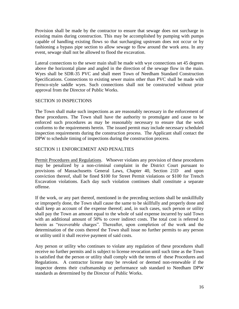Provision shall be made by the contractor to ensure that sewage does not surcharge in existing mains during construction. This may be accomplished by pumping with pumps capable of handling existing flows so that surcharging upstream does not occur or by fashioning a bypass pipe section to allow sewage to flow around the work area. In any event, sewage shall not be allowed to flood the excavation.

Lateral connections to the sewer main shall be made with wye connections set 45 degrees above the horizontal plane and angled in the direction of the sewage flow in the main. Wyes shall be SDR-35 PVC and shall meet Town of Needham Standard Construction Specifications. Connections to existing sewer mains other than PVC shall be made with Fernco-style saddle wyes. Such connections shall not be constructed without prior approval from the Director of Public Works.

# SECTION 10 INSPECTIONS

The Town shall make such inspections as are reasonably necessary in the enforcement of these procedures. The Town shall have the authority to promulgate and cause to be enforced such procedures as may be reasonably necessary to ensure that the work conforms to the requirements herein. The issued permit may include necessary scheduled inspection requirements during the construction process. The Applicant shall contact the DPW to schedule timing of inspections during the construction process.

# SECTION 11 ENFORCEMENT AND PENALTIES

Permit Procedures and Regulations. Whoever violates any provision of these procedures may be penalized by a non-criminal complaint in the District Court pursuant to provisions of Massachusetts General Laws, Chapter 40, Section 21D and upon conviction thereof, shall be fined \$100 for Street Permit violations or \$100 for Trench Excavation violations. Each day such violation continues shall constitute a separate offense.

If the work, or any part thereof, mentioned in the preceding sections shall be unskillfully or improperly done, the Town shall cause the same to be skillfully and properly done and shall keep an account of the expense thereof; and, in such cases, such person or utility shall pay the Town an amount equal to the whole of said expense incurred by said Town with an additional amount of 50% to cover indirect costs. The total cost is referred to herein as "recoverable charges". Thereafter, upon completion of the work and the determination of the costs thereof the Town shall issue no further permits to any person or utility until it shall receive payment of said costs.

Any person or utility who continues to violate any regulation of these procedures shall receive no further permits and is subject to license revocation until such time as the Town is satisfied that the person or utility shall comply with the terms of these Procedures and Regulations. A contractor license may be revoked or deemed non-renewable if the inspector deems their craftsmanship or performance sub standard to Needham DPW standards as determined by the Director of Public Works.